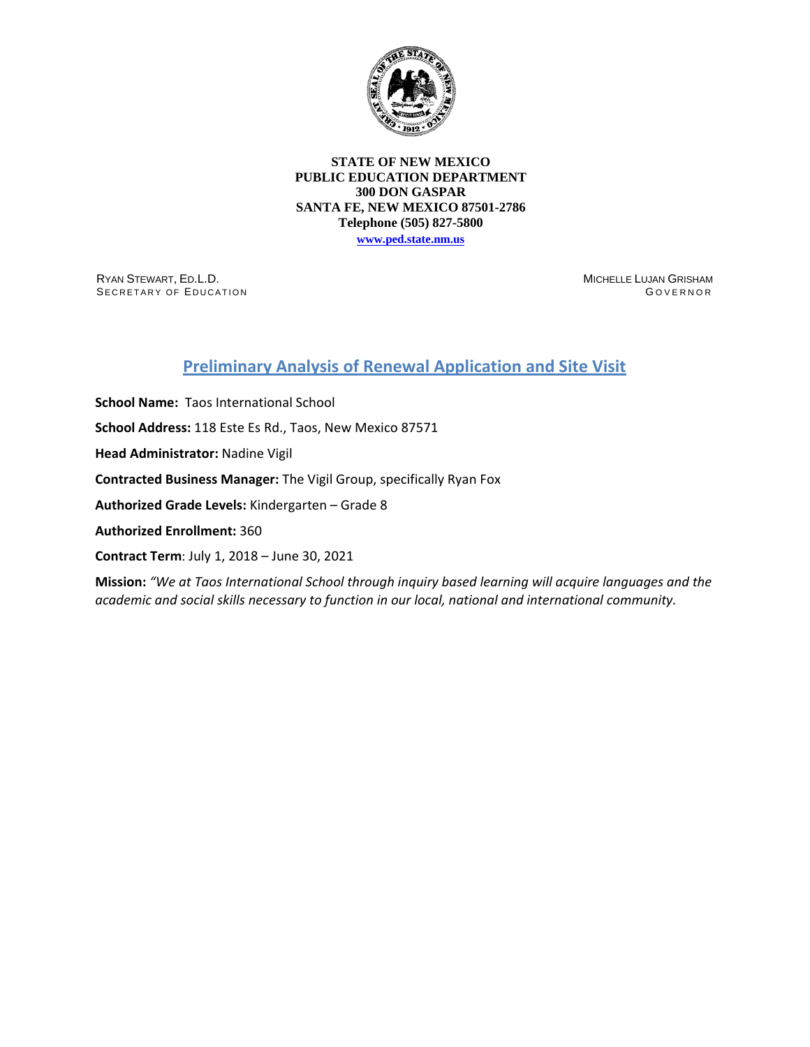

**STATE OF NEW MEXICO PUBLIC EDUCATION DEPARTMENT 300 DON GASPAR SANTA FE, NEW MEXICO 87501-2786 Telephone (505) 827-5800**

**[www.ped.state.nm.us](http://webnew.ped.state.nm.us/)**

RYAN STEWART, ED.L.D. SECRETARY OF EDUCATION MICHELLE LUJAN GRISHAM G OVERNOR

# **Preliminary Analysis of Renewal Application and Site Visit**

**School Name:** Taos International School **School Address:** 118 Este Es Rd., Taos, New Mexico 87571 **Head Administrator:** Nadine Vigil **Contracted Business Manager:** The Vigil Group, specifically Ryan Fox **Authorized Grade Levels:** Kindergarten – Grade 8 **Authorized Enrollment:** 360 **Contract Term**: July 1, 2018 – June 30, 2021

**Mission:** *"We at Taos International School through inquiry based learning will acquire languages and the academic and social skills necessary to function in our local, national and international community.*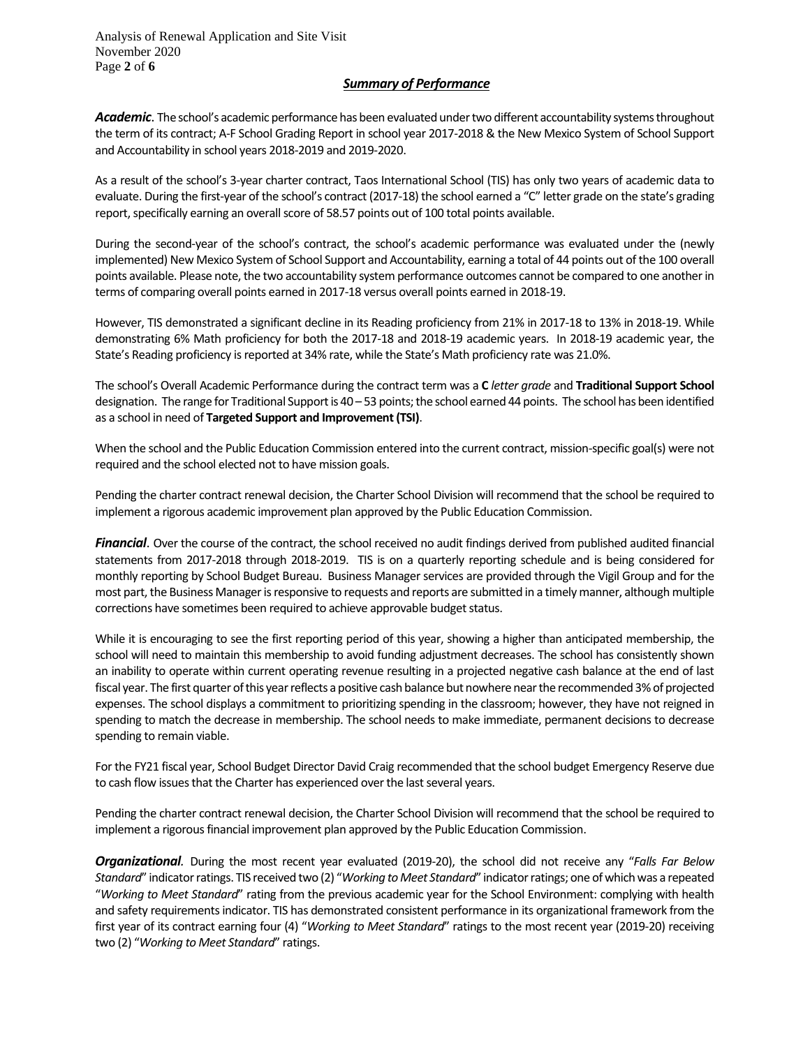Analysis of Renewal Application and Site Visit November 2020 Page **2** of **6**

### *Summary of Performance*

Academic. The school's academic performance has been evaluated under two different accountability systems throughout the term of its contract; A-F School Grading Report in school year 2017-2018 & the New Mexico System of School Support and Accountability in school years 2018-2019 and 2019-2020.

As a result of the school's 3-year charter contract, Taos International School (TIS) has only two years of academic data to evaluate. During the first-year of the school's contract (2017-18) the school earned a "C" letter grade on the state's grading report, specifically earning an overall score of 58.57 points out of 100 total points available.

During the second-year of the school's contract, the school's academic performance was evaluated under the (newly implemented) New Mexico System of School Support and Accountability, earning a total of 44 points out of the 100 overall points available. Please note, the two accountability system performance outcomes cannot be compared to one another in terms of comparing overall points earned in 2017-18 versus overall points earned in 2018-19.

However, TIS demonstrated a significant decline in its Reading proficiency from 21% in 2017-18 to 13% in 2018-19. While demonstrating 6% Math proficiency for both the 2017-18 and 2018-19 academic years. In 2018-19 academic year, the State's Reading proficiency is reported at 34% rate, while the State's Math proficiency rate was 21.0%.

The school's Overall Academic Performance during the contract term was a **C** *letter grade* and **Traditional Support School**  designation. The range for Traditional Support is 40 – 53 points; the school earned 44 points. The school has been identified as a school in need of **Targeted Support and Improvement (TSI)**.

When the school and the Public Education Commission entered into the current contract, mission-specific goal(s) were not required and the school elected not to have mission goals.

Pending the charter contract renewal decision, the Charter School Division will recommend that the school be required to implement a rigorous academic improvement plan approved by the Public Education Commission.

*Financial*. Over the course of the contract, the school received no audit findings derived from published audited financial statements from 2017-2018 through 2018-2019. TIS is on a quarterly reporting schedule and is being considered for monthly reporting by School Budget Bureau. Business Manager services are provided through the Vigil Group and for the most part, the Business Manager is responsive to requests and reports are submitted in a timely manner, although multiple corrections have sometimes been required to achieve approvable budget status.

While it is encouraging to see the first reporting period of this year, showing a higher than anticipated membership, the school will need to maintain this membership to avoid funding adjustment decreases. The school has consistently shown an inability to operate within current operating revenue resulting in a projected negative cash balance at the end of last fiscal year. The first quarter of this year reflects a positive cash balance but nowhere near the recommended 3% of projected expenses. The school displays a commitment to prioritizing spending in the classroom; however, they have not reigned in spending to match the decrease in membership. The school needs to make immediate, permanent decisions to decrease spending to remain viable.

For the FY21 fiscal year, School Budget Director David Craig recommended that the school budget Emergency Reserve due to cash flow issues that the Charter has experienced over the last several years.

Pending the charter contract renewal decision, the Charter School Division will recommend that the school be required to implement a rigorous financial improvement plan approved by the Public Education Commission.

*Organizational.* During the most recent year evaluated (2019-20), the school did not receive any "*Falls Far Below Standard*" indicator ratings. TIS received two (2) "*Working to Meet Standard*" indicator ratings; one of which was a repeated "*Working to Meet Standard*" rating from the previous academic year for the School Environment: complying with health and safety requirements indicator. TIS has demonstrated consistent performance in its organizational framework from the first year of its contract earning four (4) "*Working to Meet Standard*" ratings to the most recent year (2019-20) receiving two (2) "*Working to Meet Standard*" ratings.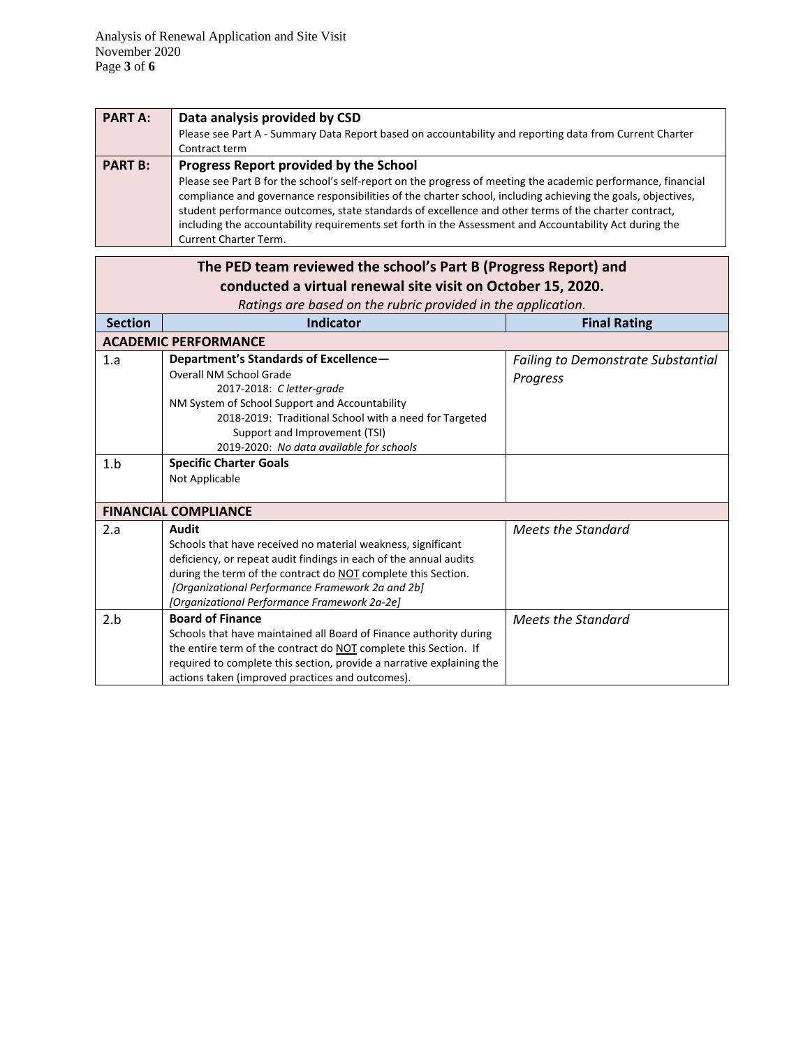| <b>PART A:</b> | Data analysis provided by CSD<br>Please see Part A - Summary Data Report based on accountability and reporting data from Current Charter<br>Contract term                                                                                                                                                                                                                                                                                                                                                           |
|----------------|---------------------------------------------------------------------------------------------------------------------------------------------------------------------------------------------------------------------------------------------------------------------------------------------------------------------------------------------------------------------------------------------------------------------------------------------------------------------------------------------------------------------|
| <b>PART B:</b> | Progress Report provided by the School<br>Please see Part B for the school's self-report on the progress of meeting the academic performance, financial<br>compliance and governance responsibilities of the charter school, including achieving the goals, objectives,<br>student performance outcomes, state standards of excellence and other terms of the charter contract,<br>including the accountability requirements set forth in the Assessment and Accountability Act during the<br>Current Charter Term. |

| The PED team reviewed the school's Part B (Progress Report) and |                                                                                                  |                                           |  |  |
|-----------------------------------------------------------------|--------------------------------------------------------------------------------------------------|-------------------------------------------|--|--|
| conducted a virtual renewal site visit on October 15, 2020.     |                                                                                                  |                                           |  |  |
|                                                                 | Ratings are based on the rubric provided in the application.                                     |                                           |  |  |
| <b>Section</b>                                                  | Indicator                                                                                        | <b>Final Rating</b>                       |  |  |
|                                                                 | <b>ACADEMIC PERFORMANCE</b>                                                                      |                                           |  |  |
| 1.a                                                             | Department's Standards of Excellence-<br>Overall NM School Grade                                 | <b>Failing to Demonstrate Substantial</b> |  |  |
|                                                                 | 2017-2018: C letter-grade                                                                        | Progress                                  |  |  |
|                                                                 | NM System of School Support and Accountability                                                   |                                           |  |  |
|                                                                 | 2018-2019: Traditional School with a need for Targeted                                           |                                           |  |  |
|                                                                 | Support and Improvement (TSI)                                                                    |                                           |  |  |
|                                                                 | 2019-2020: No data available for schools                                                         |                                           |  |  |
| 1.b                                                             | <b>Specific Charter Goals</b>                                                                    |                                           |  |  |
|                                                                 | Not Applicable                                                                                   |                                           |  |  |
|                                                                 |                                                                                                  |                                           |  |  |
| <b>FINANCIAL COMPLIANCE</b>                                     |                                                                                                  |                                           |  |  |
| 2.a                                                             | Audit                                                                                            | Meets the Standard                        |  |  |
|                                                                 | Schools that have received no material weakness, significant                                     |                                           |  |  |
|                                                                 | deficiency, or repeat audit findings in each of the annual audits                                |                                           |  |  |
|                                                                 | during the term of the contract do NOT complete this Section.                                    |                                           |  |  |
|                                                                 | [Organizational Performance Framework 2a and 2b]<br>[Organizational Performance Framework 2a-2e] |                                           |  |  |
| 2.b                                                             | <b>Board of Finance</b>                                                                          | Meets the Standard                        |  |  |
|                                                                 | Schools that have maintained all Board of Finance authority during                               |                                           |  |  |
|                                                                 | the entire term of the contract do NOT complete this Section. If                                 |                                           |  |  |
|                                                                 | required to complete this section, provide a narrative explaining the                            |                                           |  |  |
|                                                                 | actions taken (improved practices and outcomes).                                                 |                                           |  |  |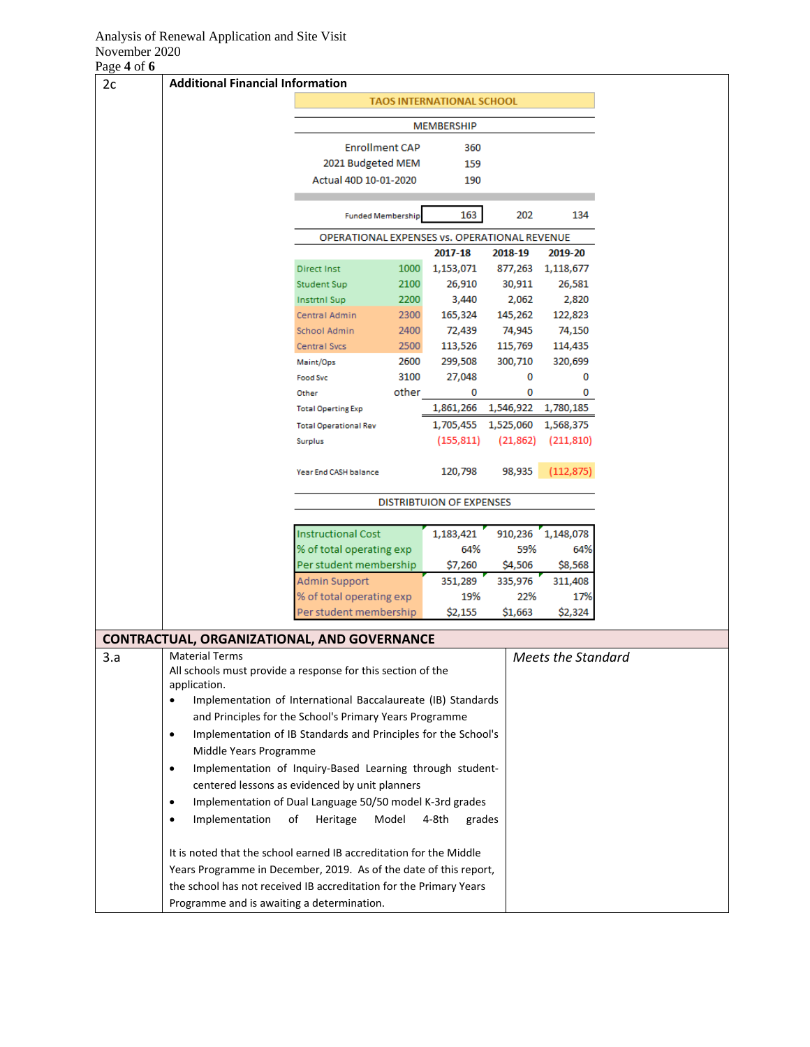### Analysis of Renewal Application and Site Visit November 2020

Page **4** of **6**

| $\cdots$<br>2c | <b>Additional Financial Information</b>                                              |                                              |                           |                     |                     |                    |
|----------------|--------------------------------------------------------------------------------------|----------------------------------------------|---------------------------|---------------------|---------------------|--------------------|
|                |                                                                                      |                                              | TAOS INTERNATIONAL SCHOOL |                     |                     |                    |
|                |                                                                                      |                                              |                           |                     |                     |                    |
|                |                                                                                      |                                              | MEMBERSHIP                |                     |                     |                    |
|                |                                                                                      | <b>Enrollment CAP</b>                        |                           | 360                 |                     |                    |
|                |                                                                                      | 2021 Budgeted MEM                            |                           | 159                 |                     |                    |
|                |                                                                                      | Actual 40D 10-01-2020                        |                           | 190                 |                     |                    |
|                |                                                                                      |                                              |                           |                     |                     |                    |
|                |                                                                                      | <b>Funded Membership</b>                     |                           | 163                 | 202                 | 134                |
|                |                                                                                      | OPERATIONAL EXPENSES vs. OPERATIONAL REVENUE |                           |                     |                     |                    |
|                |                                                                                      |                                              |                           | 2017-18             | 2018-19             | 2019-20            |
|                |                                                                                      | <b>Direct Inst</b>                           | 1000                      | 1,153,071           |                     | 877,263 1,118,677  |
|                |                                                                                      | <b>Student Sup</b>                           | 2100                      | 26,910              | 30,911              | 26,581             |
|                |                                                                                      | <b>Instrtnl Sup</b>                          | 2200                      | 3,440               | 2,062               | 2,820              |
|                |                                                                                      | Central Admin                                | 2300                      | 165,324             | 145,262             | 122,823            |
|                |                                                                                      | School Admin<br><b>Central Svcs</b>          | 2400<br>2500              | 72,439<br>113,526   | 74,945<br>115,769   | 74,150<br>114,435  |
|                |                                                                                      | Maint/Ops                                    | 2600                      | 299,508             | 300,710             | 320,699            |
|                |                                                                                      | <b>Food Svc</b>                              | 3100                      | 27,048              | 0                   | 0                  |
|                |                                                                                      | Other                                        | other                     | 0                   | 0                   | 0                  |
|                |                                                                                      | <b>Total Operting Exp</b>                    |                           |                     | 1,861,266 1,546,922 | 1,780,185          |
|                |                                                                                      | <b>Total Operational Rev</b>                 |                           | 1,705,455 1,525,060 |                     | 1,568,375          |
|                |                                                                                      | Surplus                                      |                           | (155, 811)          | (21, 862)           | (211, 810)         |
|                |                                                                                      | Year End CASH balance                        |                           | 120,798             | 98,935              | (112,875)          |
|                |                                                                                      | <b>DISTRIBTUION OF EXPENSES</b>              |                           |                     |                     |                    |
|                |                                                                                      |                                              |                           |                     |                     |                    |
|                |                                                                                      | <b>Instructional Cost</b>                    |                           | 1,183,421           | 910,236             | 1,148,078          |
|                |                                                                                      | % of total operating exp                     |                           | 64%                 | 59%                 | 64%                |
|                |                                                                                      | Per student membership                       |                           | \$7,260             | \$4,506             | \$8,568            |
|                |                                                                                      | Admin Support                                |                           | 351,289             | 335,976             | 311,408            |
|                |                                                                                      | % of total operating exp                     |                           | 19%                 | 22%                 | 17%                |
|                |                                                                                      | Per student membership                       |                           | \$2,155             | \$1,663             | \$2,324            |
|                | <b>CONTRACTUAL, ORGANIZATIONAL, AND GOVERNANCE</b>                                   |                                              |                           |                     |                     |                    |
| 3.a            | <b>Material Terms</b><br>All schools must provide a response for this section of the |                                              |                           |                     |                     | Meets the Standard |
|                | application.                                                                         |                                              |                           |                     |                     |                    |
|                | Implementation of International Baccalaureate (IB) Standards<br>$\bullet$            |                                              |                           |                     |                     |                    |
|                | and Principles for the School's Primary Years Programme                              |                                              |                           |                     |                     |                    |
|                | Implementation of IB Standards and Principles for the School's<br>$\bullet$          |                                              |                           |                     |                     |                    |
|                | Middle Years Programme                                                               |                                              |                           |                     |                     |                    |
|                | Implementation of Inquiry-Based Learning through student-<br>$\bullet$               |                                              |                           |                     |                     |                    |
|                | centered lessons as evidenced by unit planners                                       |                                              |                           |                     |                     |                    |
|                | Implementation of Dual Language 50/50 model K-3rd grades<br>$\bullet$                |                                              |                           |                     |                     |                    |
|                | Implementation<br>$\bullet$                                                          | of<br>Heritage                               | Model                     | 4-8th<br>grades     |                     |                    |
|                |                                                                                      |                                              |                           |                     |                     |                    |
|                | It is noted that the school earned IB accreditation for the Middle                   |                                              |                           |                     |                     |                    |
|                | Years Programme in December, 2019. As of the date of this report,                    |                                              |                           |                     |                     |                    |
|                | the school has not received IB accreditation for the Primary Years                   |                                              |                           |                     |                     |                    |
|                | Programme and is awaiting a determination.                                           |                                              |                           |                     |                     |                    |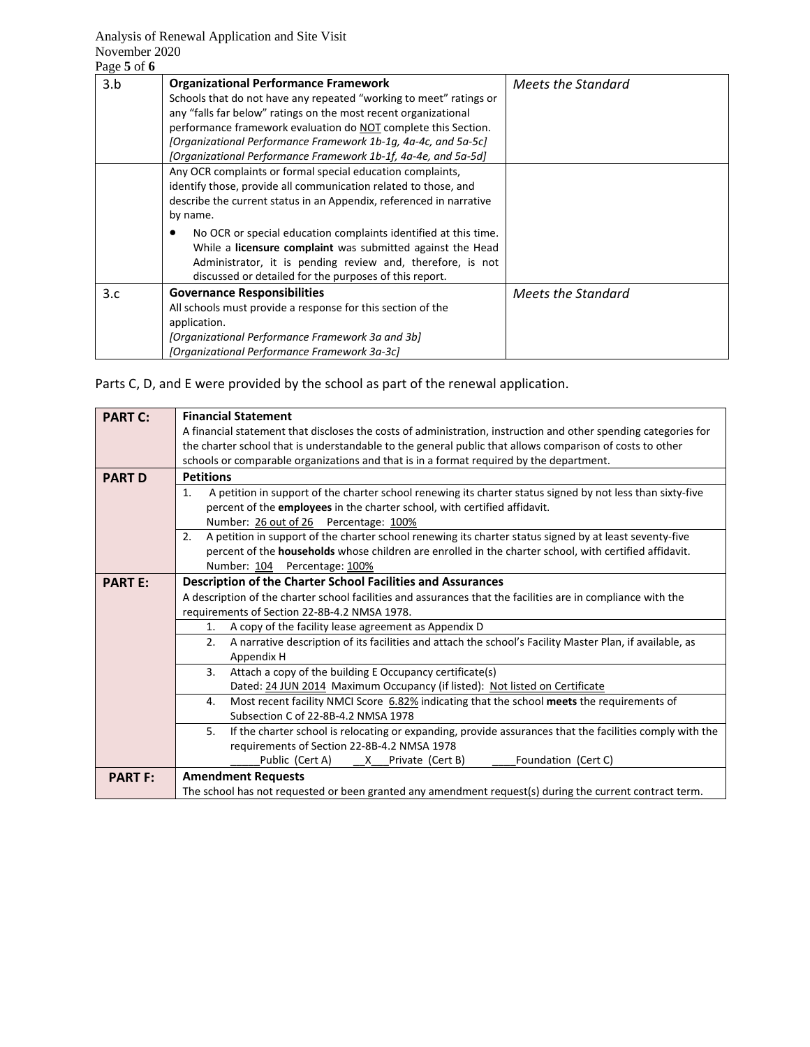## Analysis of Renewal Application and Site Visit November 2020

| Page 5 of 6 |                                                                                                                                                                                                                                                                                                                                                                                                                                                                                  |                    |
|-------------|----------------------------------------------------------------------------------------------------------------------------------------------------------------------------------------------------------------------------------------------------------------------------------------------------------------------------------------------------------------------------------------------------------------------------------------------------------------------------------|--------------------|
| 3.b         | <b>Organizational Performance Framework</b><br>Schools that do not have any repeated "working to meet" ratings or<br>any "falls far below" ratings on the most recent organizational<br>performance framework evaluation do NOT complete this Section.<br>[Organizational Performance Framework 1b-1g, 4a-4c, and 5a-5c]<br>[Organizational Performance Framework 1b-1f, 4a-4e, and 5a-5d]                                                                                       | Meets the Standard |
|             | Any OCR complaints or formal special education complaints,<br>identify those, provide all communication related to those, and<br>describe the current status in an Appendix, referenced in narrative<br>by name.<br>No OCR or special education complaints identified at this time.<br>While a <b>licensure complaint</b> was submitted against the Head<br>Administrator, it is pending review and, therefore, is not<br>discussed or detailed for the purposes of this report. |                    |
| 3.c         | <b>Governance Responsibilities</b><br>All schools must provide a response for this section of the<br>application.<br>[Organizational Performance Framework 3a and 3b]<br>[Organizational Performance Framework 3a-3c]                                                                                                                                                                                                                                                            | Meets the Standard |

Parts C, D, and E were provided by the school as part of the renewal application.

| <b>PART C:</b> | <b>Financial Statement</b>                                                                                       |  |  |  |  |  |  |
|----------------|------------------------------------------------------------------------------------------------------------------|--|--|--|--|--|--|
|                | A financial statement that discloses the costs of administration, instruction and other spending categories for  |  |  |  |  |  |  |
|                | the charter school that is understandable to the general public that allows comparison of costs to other         |  |  |  |  |  |  |
|                | schools or comparable organizations and that is in a format required by the department.                          |  |  |  |  |  |  |
| <b>PART D</b>  | <b>Petitions</b>                                                                                                 |  |  |  |  |  |  |
|                | A petition in support of the charter school renewing its charter status signed by not less than sixty-five<br>1. |  |  |  |  |  |  |
|                | percent of the employees in the charter school, with certified affidavit.                                        |  |  |  |  |  |  |
|                | Number: 26 out of 26 Percentage: 100%                                                                            |  |  |  |  |  |  |
|                | A petition in support of the charter school renewing its charter status signed by at least seventy-five<br>2.    |  |  |  |  |  |  |
|                | percent of the households whose children are enrolled in the charter school, with certified affidavit.           |  |  |  |  |  |  |
|                | Number: 104 Percentage: 100%                                                                                     |  |  |  |  |  |  |
| <b>PART E:</b> | <b>Description of the Charter School Facilities and Assurances</b>                                               |  |  |  |  |  |  |
|                | A description of the charter school facilities and assurances that the facilities are in compliance with the     |  |  |  |  |  |  |
|                | requirements of Section 22-8B-4.2 NMSA 1978.                                                                     |  |  |  |  |  |  |
|                | A copy of the facility lease agreement as Appendix D<br>1.                                                       |  |  |  |  |  |  |
|                | A narrative description of its facilities and attach the school's Facility Master Plan, if available, as<br>2.   |  |  |  |  |  |  |
|                | Appendix H                                                                                                       |  |  |  |  |  |  |
|                | 3 <sub>1</sub><br>Attach a copy of the building E Occupancy certificate(s)                                       |  |  |  |  |  |  |
|                | Dated: 24 JUN 2014 Maximum Occupancy (if listed): Not listed on Certificate                                      |  |  |  |  |  |  |
|                | Most recent facility NMCI Score 6.82% indicating that the school meets the requirements of<br>4.                 |  |  |  |  |  |  |
|                | Subsection C of 22-8B-4.2 NMSA 1978                                                                              |  |  |  |  |  |  |
|                | If the charter school is relocating or expanding, provide assurances that the facilities comply with the<br>5.   |  |  |  |  |  |  |
|                | requirements of Section 22-8B-4.2 NMSA 1978                                                                      |  |  |  |  |  |  |
|                | Foundation (Cert C)                                                                                              |  |  |  |  |  |  |
| <b>PART F:</b> | <b>Amendment Requests</b>                                                                                        |  |  |  |  |  |  |
|                | The school has not requested or been granted any amendment request(s) during the current contract term.          |  |  |  |  |  |  |